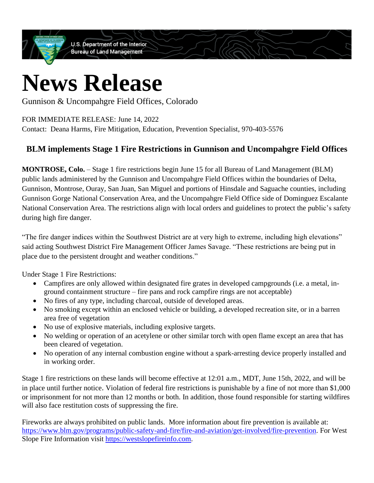**U.S. Department of the Interior Bureau of Land Management** 

## **News Release**

Gunnison & Uncompahgre Field Offices, Colorado

FOR IMMEDIATE RELEASE: June 14, 2022

Contact: Deana Harms, Fire Mitigation, Education, Prevention Specialist, 970-403-5576

## **BLM implements Stage 1 Fire Restrictions in Gunnison and Uncompahgre Field Offices**

**MONTROSE, Colo.** – Stage 1 fire restrictions begin June 15 for all Bureau of Land Management (BLM) public lands administered by the Gunnison and Uncompahgre Field Offices within the boundaries of Delta, Gunnison, Montrose, Ouray, San Juan, San Miguel and portions of Hinsdale and Saguache counties, including Gunnison Gorge National Conservation Area, and the Uncompahgre Field Office side of Dominguez Escalante National Conservation Area. The restrictions align with local orders and guidelines to protect the public's safety during high fire danger.

"The fire danger indices within the Southwest District are at very high to extreme, including high elevations" said acting Southwest District Fire Management Officer James Savage. "These restrictions are being put in place due to the persistent drought and weather conditions."

Under Stage 1 Fire Restrictions:

- Campfires are only allowed within designated fire grates in developed campgrounds (i.e. a metal, inground containment structure – fire pans and rock campfire rings are not acceptable)
- No fires of any type, including charcoal, outside of developed areas.
- No smoking except within an enclosed vehicle or building, a developed recreation site, or in a barren area free of vegetation
- No use of explosive materials, including explosive targets.
- No welding or operation of an acetylene or other similar torch with open flame except an area that has been cleared of vegetation.
- No operation of any internal combustion engine without a spark-arresting device properly installed and in working order.

Stage 1 fire restrictions on these lands will become effective at 12:01 a.m., MDT, June 15th, 2022, and will be in place until further notice. Violation of federal fire restrictions is punishable by a fine of not more than \$1,000 or imprisonment for not more than 12 months or both. In addition, those found responsible for starting wildfires will also face restitution costs of suppressing the fire.

Fireworks are always prohibited on public lands. More information about fire prevention is available at: [https://www.blm.gov/programs/public-safety-and-fire/fire-and-aviation/get-involved/fire-prevention.](https://www.blm.gov/programs/public-safety-and-fire/fire-and-aviation/get-involved/fire-prevention) For West Slope Fire Information visit [https://westslopefireinfo.com.](https://westslopefireinfo.com/)